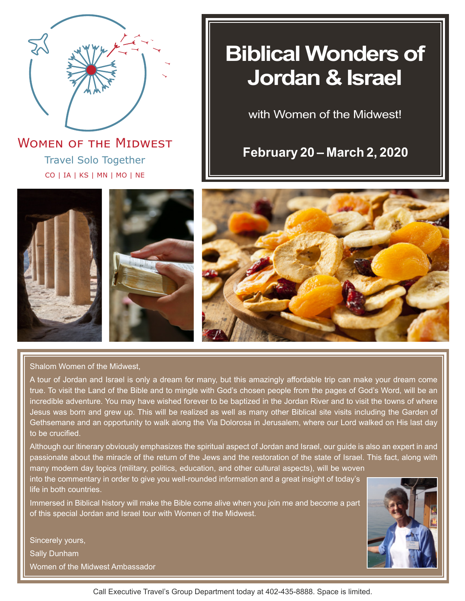

Travel Solo Together CO | IA | KS | MN | MO | NE **WOMEN OF THE MIDWEST** 

# **Biblical Wonders of Jordan & Israel**

with Women of the Midwest!

**February 20 – March 2, 2020**





Shalom Women of the Midwest,

A tour of Jordan and Israel is only a dream for many, but this amazingly affordable trip can make your dream come true. To visit the Land of the Bible and to mingle with God's chosen people from the pages of God's Word, will be an incredible adventure. You may have wished forever to be baptized in the Jordan River and to visit the towns of where Jesus was born and grew up. This will be realized as well as many other Biblical site visits including the Garden of Gethsemane and an opportunity to walk along the Via Dolorosa in Jerusalem, where our Lord walked on His last day to be crucified.

Although our itinerary obviously emphasizes the spiritual aspect of Jordan and Israel, our guide is also an expert in and passionate about the miracle of the return of the Jews and the restoration of the state of Israel. This fact, along with many modern day topics (military, politics, education, and other cultural aspects), will be woven

into the commentary in order to give you well-rounded information and a great insight of today's life in both countries.

Immersed in Biblical history will make the Bible come alive when you join me and become a part of this special Jordan and Israel tour with Women of the Midwest.

Sincerely yours, Sally Dunham Women of the Midwest Ambassador



Call Executive Travel's Group Department today at 402-435-8888. Space is limited.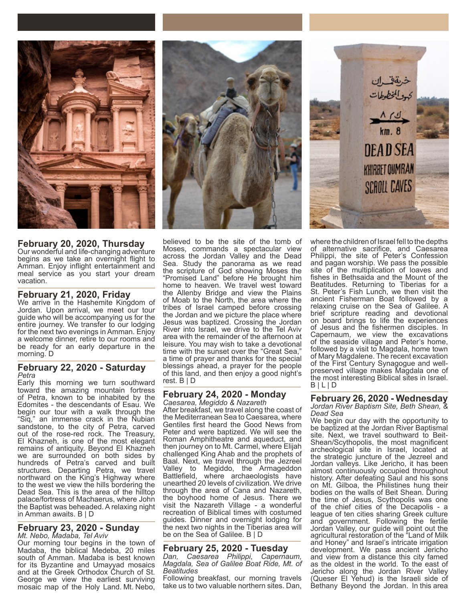

**February 20, 2020, Thursday**

Our wonderful and life-changing adventure begins as we take an overnight flight to Amman. Enjoy inflight entertainment and meal service as you start your dream vacation.

## **February 21, 2020, Friday**

We arrive in the Hashemite Kingdom of Jordan. Upon arrival, we meet our tour guide who will be accompanying us for the entire journey. We transfer to our lodging for the next two evenings in Amman. Enjoy a welcome dinner, retire to our rooms and be ready for an early departure in the morning. D

### **February 22, 2020 - Saturday** *Petra*

Early this morning we turn southward toward the amazing mountain fortress of Petra, known to be inhabited by the Edomites - the descendants of Esau. We begin our tour with a walk through the "Siq," an immense crack in the Nubian sandstone, to the city of Petra, carved out of the rose-red rock. The Treasury, El Khazneh, is one of the most elegant remains of antiquity. Beyond El Khazneh we are surrounded on both sides by hundreds of Petra's carved and built structures. Departing Petra, we travel northward on the King's Highway where to the west we view the hills bordering the Dead Sea. This is the area of the hilltop palace/fortress of Machaerus, where John the Baptist was beheaded. A relaxing night in Amman awaits. B | D

### **February 23, 2020 - Sunday** *Mt. Nebo, Madaba, Tel Aviv*

Our morning tour begins in the town of Madaba, the biblical Medeba, 20 miles south of Amman. Madaba is best known for its Byzantine and Umayyad mosaics and at the Greek Orthodox Church of St. George we view the earliest surviving mosaic map of the Holy Land. Mt. Nebo,



believed to be the site of the tomb of Moses, commands a spectacular view across the Jordan Valley and the Dead Sea. Study the panorama as we read the scripture of God showing Moses the "Promised Land" before He brought him home to heaven. We travel west toward the Allenby Bridge and view the Plains of Moab to the North, the area where the tribes of Israel camped before crossing the Jordan and we picture the place where Jesus was baptized. Crossing the Jordan River into Israel, we drive to the Tel Aviv area with the remainder of the afternoon at leisure. You may wish to take a devotional time with the sunset over the "Great Sea," a time of prayer and thanks for the special blessings ahead, a prayer for the people of this land, and then enjoy a good night's rest. B | D

### **February 24, 2020 - Monday** *Caesarea, Megiddo & Nazareth*

After breakfast, we travel along the coast of the Mediterranean Sea to Caesarea, where Gentiles first heard the Good News from Peter and were baptized. We will see the Roman Amphitheatre and aqueduct, and then journey on to Mt. Carmel, where Elijah challenged King Ahab and the prophets of Baal. Next, we travel through the Jezreel Valley to Megiddo, the Armageddon Battlefield, where archaeologists have unearthed 20 levels of civilization. We drive through the area of Cana and Nazareth, the boyhood home of Jesus. There we visit the Nazareth Village - a wonderful recreation of Biblical times with costumed guides. Dinner and overnight lodging for the next two nights in the Tiberias area will be on the Sea of Galilee. B | D

# **February 25, 2020 - Tuesday**

*Dan, Caesarea Philippi, Capernaum, Magdala, Sea of Galilee Boat Ride, Mt. of Beatitudes*

Following breakfast, our morning travels take us to two valuable northern sites. Dan,



where the children of Israel fell to the depths of alternative sacrifice, and Caesarea Philippi, the site of Peter's Confession and pagan worship. We pass the possible site of the multiplication of loaves and fishes in Bethsaida and the Mount of the Beatitudes. Returning to Tiberias for a St. Peter's Fish Lunch, we then visit the ancient Fisherman Boat followed by a relaxing cruise on the Sea of Galilee. A brief scripture reading and devotional on board brings to life the experiences of Jesus and the fishermen disciples. In Capernaum, we view the excavations of the seaside village and Peter's home, followed by a visit to Magdala, home town of Mary Magdalene. The recent excavation of the First Century Synagogue and wellpreserved village makes Magdala one of the most interesting Biblical sites in Israel. B | L | D

### **February 26, 2020 - Wednesday** *Jordan River Baptism Site, Beth Shean, & Dead Sea*

We begin our day with the opportunity to be baptized at the Jordan River Baptismal site. Next, we travel southward to Beit-Shean/Scythopolis, the most magnificent archeological site in Israel, located at the strategic juncture of the Jezreel and Jordan valleys. Like Jericho, it has been almost continuously occupied throughout history. After defeating Saul and his sons on Mt. Gilboa, the Philistines hung their bodies on the walls of Beit Shean. During the time of Jesus, Scythopolis was one of the chief cities of the Decapolis - a league of ten cities sharing Greek culture and government. Following the fertile Jordan Valley, our guide will point out the agricultural restoration of the "Land of Milk and Honey" and Israel's intricate irrigation development. We pass ancient Jericho and view from a distance this city famed as the oldest in the world. To the east of Jericho along the Jordan River Valley (Queser El Yehud) is the Israeli side of Bethany Beyond the Jordan. In this area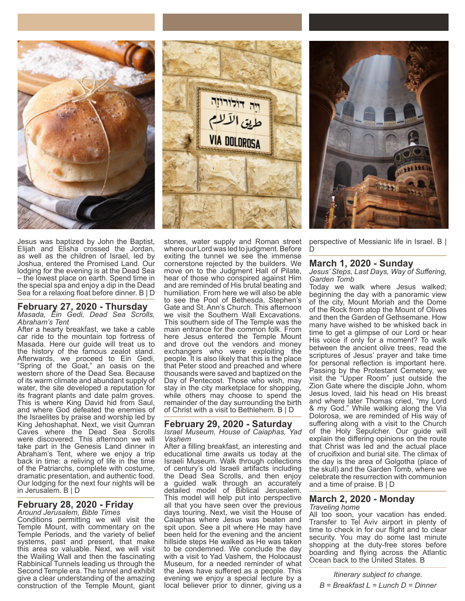

Jesus was baptized by John the Baptist, Elijah and Elisha crossed the Jordan, as well as the children of Israel, led by Joshua, entered the Promised Land. Our lodging for the evening is at the Dead Sea – the lowest place on earth. Spend time in the special spa and enjoy a dip in the Dead Sea for a relaxing float before dinner. B | D

### **February 27, 2020 - Thursday** *Masada, Ein Gedi, Dead Sea Scrolls,*

*Abraham's Tent*

After a hearty breakfast, we take a cable car ride to the mountain top fortress of Masada. Here our guide will treat us to the history of the famous zealot stand. Afterwards, we proceed to Ein Gedi, "Spring of the Goat," an oasis on the western shore of the Dead Sea. Because of its warm climate and abundant supply of water, the site developed a reputation for its fragrant plants and date palm groves. This is where King David hid from Saul, and where God defeated the enemies of the Israelites by praise and worship led by King Jehoshaphat. Next, we visit Qumran Caves where the Dead Sea Scrolls were discovered. This afternoon we will take part in the Genesis Land dinner in Abraham's Tent, where we enjoy a trip back in time: a reliving of life in the time of the Patriarchs, complete with costume, dramatic presentation, and authentic food. Our lodging for the next four nights will be in Jerusalem. B | D

#### **February 28, 2020 - Friday** *Around Jerusalem, Bible Times*

Conditions permitting we will visit the Temple Mount, with commentary on the Temple Periods, and the variety of belief systems, past and present, that make this area so valuable. Next, we will visit the Wailing Wall and then the fascinating Rabbinical Tunnels leading us through the Second Temple era. The tunnel and exhibit give a clear understanding of the amazing construction of the Temple Mount, giant



stones, water supply and Roman street where our Lord was led to judgment. Before exiting the tunnel we see the immense cornerstone rejected by the builders. We move on to the Judgment Hall of Pilate, hear of those who conspired against Him and are reminded of His brutal beating and humiliation. From here we will also be able to see the Pool of Bethesda, Stephen's Gate and St. Ann's Church. This afternoon we visit the Southern Wall Excavations. This southern side of The Temple was the main entrance for the common folk. From here Jesus entered the Temple Mount and drove out the vendors and money exchangers who were exploiting the people. It is also likely that this is the place that Peter stood and preached and where thousands were saved and baptized on the Day of Pentecost. Those who wish, may stay in the city marketplace for shopping, while others may choose to spend the remainder of the day surrounding the birth of Christ with a visit to Bethlehem. B | D

### **February 29, 2020 - Saturday** *Israel Museum, House of Caiaphas, Yad Vashem*

After a filling breakfast, an interesting and educational time awaits us today at the Israeli Museum. Walk through collections of century's old Israeli artifacts including the Dead Sea Scrolls, and then enjoy a guided walk through an accurately detailed model of Biblical Jerusalem. This model will help put into perspective all that you have seen over the previous days touring. Next, we visit the House of Caiaphas where Jesus was beaten and spit upon. See a pit where He may have been held for the evening and the ancient hillside steps He walked as He was taken to be condemned. We conclude the day with a visit to Yad Vashem, the Holocaust Museum, for a needed reminder of what the Jews have suffered as a people. This evening we enjoy a special lecture by a local believer prior to dinner, giving us a



perspective of Messianic life in Israel. B | D

# **March 1, 2020 - Sunday**

*Jesus' Steps, Last Days, Way of Suffering, Garden Tomb*

Today we walk where Jesus walked; beginning the day with a panoramic view of the city, Mount Moriah and the Dome of the Rock from atop the Mount of Olives and then the Garden of Gethsemane. How many have wished to be whisked back in time to get a glimpse of our Lord or hear His voice if only for a moment? To walk between the ancient olive trees, read the scriptures of Jesus' prayer and take time for personal reflection is important here. Passing by the Protestant Cemetery, we visit the "Upper Room" just outside the Zion Gate where the disciple John, whom Jesus loved, laid his head on His breast and where later Thomas cried, "my Lord & my God." While walking along the Via Dolorosa, we are reminded of His way of suffering along with a visit to the Church of the Holy Sepulcher. Our guide will explain the differing opinions on the route that Christ was led and the actual place of crucifixion and burial site. The climax of the day is the area of Golgotha (place of the skull) and the Garden Tomb, where we celebrate the resurrection with communion and a time of praise. B | D

### **March 2, 2020 - Monday** *Traveling home*

All too soon, your vacation has ended. Transfer to Tel Aviv airport in plenty of time to check in for our flight and to clear security. You may do some last minute shopping at the duty-free stores before boarding and flying across the Atlantic Ocean back to the United States. B

*Itinerary subject to change. B = Breakfast L = Lunch D = Dinner*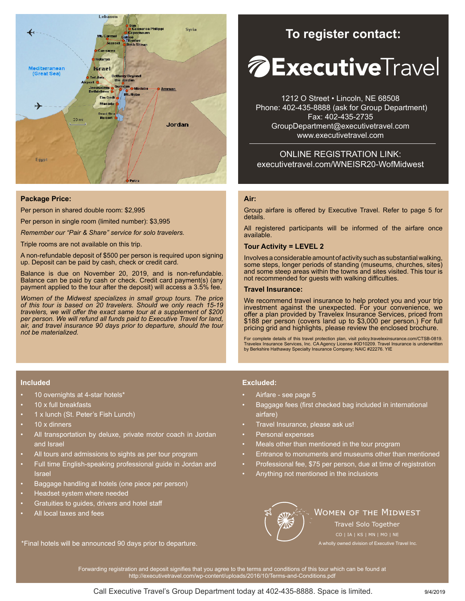

### **Package Price:**

Per person in shared double room: \$2,995

Per person in single room (limited number): \$3,995

*Remember our "Pair & Share" service for solo travelers.* 

Triple rooms are not available on this trip.

A non-refundable deposit of \$500 per person is required upon signing up. Deposit can be paid by cash, check or credit card.

Balance is due on November 20, 2019, and is non-refundable. Balance can be paid by cash or check. Credit card payment(s) (any payment applied to the tour after the deposit) will access a 3.5% fee.

*Women of the Midwest specializes in small group tours. The price of this tour is based on 20 travelers. Should we only reach 15-19 travelers, we will offer the exact same tour at a supplement of \$200 per person. We will refund all funds paid to Executive Travel for land, air, and travel insurance 90 days prior to departure, should the tour not be materialized.*

# **To register contact:**

# *A* **Executive**Travel

1212 O Street • Lincoln, NE 68508 Phone: 402-435-8888 (ask for Group Department) Fax: 402-435-2735 GroupDepartment@executivetravel.com www.executivetravel.com

ONLINE REGISTRATION LINK: executivetravel.com/WNEISR20-WofMidwest

### **Air:**

Group airfare is offered by Executive Travel. Refer to page 5 for details.

All registered participants will be informed of the airfare once available.

### **Tour Activity = LEVEL 2**

Involves a considerable amount of activity such as substantial walking, some steps, longer periods of standing (museums, churches, sites) and some steep areas within the towns and sites visited. This tour is not recommended for guests with walking difficulties.

### **Travel Insurance:**

We recommend travel insurance to help protect you and your trip investment against the unexpected. For your convenience, we offer a plan provided by Travelex Insurance Services, priced from \$188 per person (covers land up to \$3,000 per person.) For full pricing grid and highlights, please review the enclosed brochure.

For complete details of this travel protection plan, visit policy.travelexinsurance.com/CTSB-0819. Travelex Insurance Services, Inc. CA Agency License #0D10209. Travel Insurance is underwritten by Berkshire Hathaway Specialty Insurance Company; NAIC #22276. YIE

### **Included**

- 10 overnights at 4-star hotels\*
- 10 x full breakfasts
- 1 x lunch (St. Peter's Fish Lunch)
- 10 x dinners
- All transportation by deluxe, private motor coach in Jordan and Israel
- All tours and admissions to sights as per tour program
- Full time English-speaking professional guide in Jordan and Israel
- Baggage handling at hotels (one piece per person)
- Headset system where needed
- Gratuities to guides, drivers and hotel staff
- All local taxes and fees

\*Final hotels will be announced 90 days prior to departure.

### **Excluded:**

- Airfare see page 5
- Baggage fees (first checked bag included in international airfare)
- Travel Insurance, please ask us!
- Personal expenses
- Meals other than mentioned in the tour program
- Entrance to monuments and museums other than mentioned
- Professional fee, \$75 per person, due at time of registration
- Anything not mentioned in the inclusions



### **WOMEN OF THE MIDWEST**

A wholly owned division of Executive Travel Inc. Travel Solo Together

Forwarding registration and deposit signifies that you agree to the terms and conditions of this tour which can be found at http://executivetravel.com/wp-content/uploads/2016/10/Terms-and-Conditions.pdf